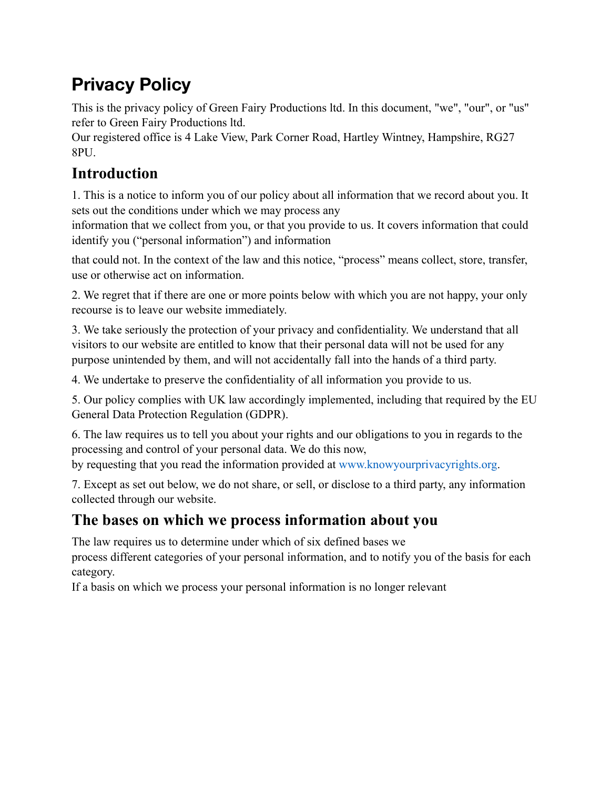# **Privacy Policy**

This is the privacy policy of Green Fairy Productions ltd. In this document, "we", "our", or "us" refer to Green Fairy Productions ltd.

Our registered office is 4 Lake View, Park Corner Road, Hartley Wintney, Hampshire, RG27 8PU.

## **Introduction**

1. This is a notice to inform you of our policy about all information that we record about you. It sets out the conditions under which we may process any

information that we collect from you, or that you provide to us. It covers information that could identify you ("personal information") and information

that could not. In the context of the law and this notice, "process" means collect, store, transfer, use or otherwise act on information.

2. We regret that if there are one or more points below with which you are not happy, your only recourse is to leave our website immediately.

3. We take seriously the protection of your privacy and confidentiality. We understand that all visitors to our website are entitled to know that their personal data will not be used for any purpose unintended by them, and will not accidentally fall into the hands of a third party.

4. We undertake to preserve the confidentiality of all information you provide to us.

5. Our policy complies with UK law accordingly implemented, including that required by the EU General Data Protection Regulation (GDPR).

6. The law requires us to tell you about your rights and our obligations to you in regards to the processing and control of your personal data. We do this now,

by requesting that you read the information provided at www.knowyourprivacyrights.org.

7. Except as set out below, we do not share, or sell, or disclose to a third party, any information collected through our website.

#### **The bases on which we process information about you**

The law requires us to determine under which of six defined bases we

process different categories of your personal information, and to notify you of the basis for each category.

If a basis on which we process your personal information is no longer relevant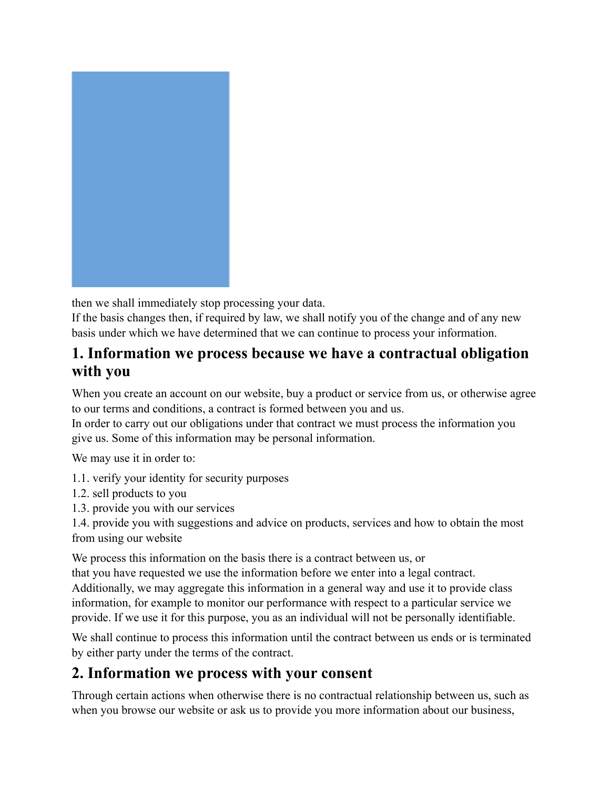

then we shall immediately stop processing your data.

If the basis changes then, if required by law, we shall notify you of the change and of any new basis under which we have determined that we can continue to process your information.

#### **1. Information we process because we have a contractual obligation with you**

When you create an account on our website, buy a product or service from us, or otherwise agree to our terms and conditions, a contract is formed between you and us.

In order to carry out our obligations under that contract we must process the information you give us. Some of this information may be personal information.

We may use it in order to:

- 1.1. verify your identity for security purposes
- 1.2. sell products to you
- 1.3. provide you with our services
- 1.4. provide you with suggestions and advice on products, services and how to obtain the most from using our website

We process this information on the basis there is a contract between us, or

that you have requested we use the information before we enter into a legal contract. Additionally, we may aggregate this information in a general way and use it to provide class information, for example to monitor our performance with respect to a particular service we provide. If we use it for this purpose, you as an individual will not be personally identifiable.

We shall continue to process this information until the contract between us ends or is terminated by either party under the terms of the contract.

#### **2. Information we process with your consent**

Through certain actions when otherwise there is no contractual relationship between us, such as when you browse our website or ask us to provide you more information about our business,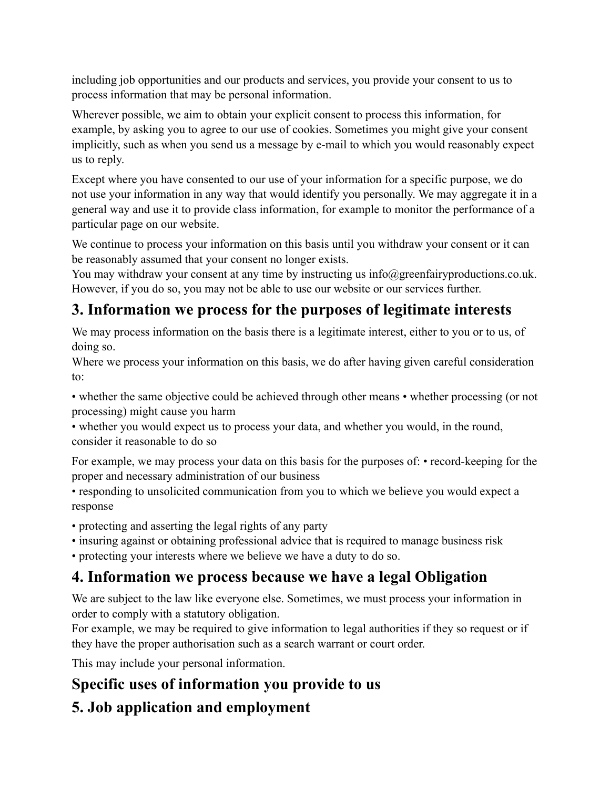including job opportunities and our products and services, you provide your consent to us to process information that may be personal information.

Wherever possible, we aim to obtain your explicit consent to process this information, for example, by asking you to agree to our use of cookies. Sometimes you might give your consent implicitly, such as when you send us a message by e-mail to which you would reasonably expect us to reply.

Except where you have consented to our use of your information for a specific purpose, we do not use your information in any way that would identify you personally. We may aggregate it in a general way and use it to provide class information, for example to monitor the performance of a particular page on our website.

We continue to process your information on this basis until you withdraw your consent or it can be reasonably assumed that your consent no longer exists.

You may withdraw your consent at any time by instructing us info@greenfairyproductions.co.uk. However, if you do so, you may not be able to use our website or our services further.

## **3. Information we process for the purposes of legitimate interests**

We may process information on the basis there is a legitimate interest, either to you or to us, of doing so.

Where we process your information on this basis, we do after having given careful consideration to:

• whether the same objective could be achieved through other means • whether processing (or not processing) might cause you harm

• whether you would expect us to process your data, and whether you would, in the round, consider it reasonable to do so

For example, we may process your data on this basis for the purposes of: • record-keeping for the proper and necessary administration of our business

• responding to unsolicited communication from you to which we believe you would expect a response

• protecting and asserting the legal rights of any party

• insuring against or obtaining professional advice that is required to manage business risk

• protecting your interests where we believe we have a duty to do so.

## **4. Information we process because we have a legal Obligation**

We are subject to the law like everyone else. Sometimes, we must process your information in order to comply with a statutory obligation.

For example, we may be required to give information to legal authorities if they so request or if they have the proper authorisation such as a search warrant or court order.

This may include your personal information.

## **Specific uses of information you provide to us**

## **5. Job application and employment**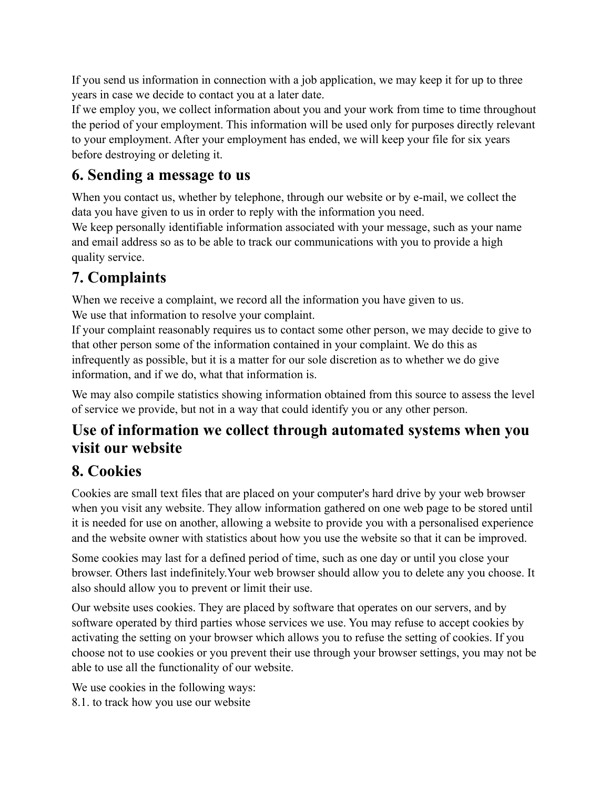If you send us information in connection with a job application, we may keep it for up to three years in case we decide to contact you at a later date.

If we employ you, we collect information about you and your work from time to time throughout the period of your employment. This information will be used only for purposes directly relevant to your employment. After your employment has ended, we will keep your file for six years before destroying or deleting it.

#### **6. Sending a message to us**

When you contact us, whether by telephone, through our website or by e-mail, we collect the data you have given to us in order to reply with the information you need.

We keep personally identifiable information associated with your message, such as your name and email address so as to be able to track our communications with you to provide a high quality service.

## **7. Complaints**

When we receive a complaint, we record all the information you have given to us. We use that information to resolve your complaint.

If your complaint reasonably requires us to contact some other person, we may decide to give to that other person some of the information contained in your complaint. We do this as infrequently as possible, but it is a matter for our sole discretion as to whether we do give information, and if we do, what that information is.

We may also compile statistics showing information obtained from this source to assess the level of service we provide, but not in a way that could identify you or any other person.

#### **Use of information we collect through automated systems when you visit our website**

#### **8. Cookies**

Cookies are small text files that are placed on your computer's hard drive by your web browser when you visit any website. They allow information gathered on one web page to be stored until it is needed for use on another, allowing a website to provide you with a personalised experience and the website owner with statistics about how you use the website so that it can be improved.

Some cookies may last for a defined period of time, such as one day or until you close your browser. Others last indefinitely.Your web browser should allow you to delete any you choose. It also should allow you to prevent or limit their use.

Our website uses cookies. They are placed by software that operates on our servers, and by software operated by third parties whose services we use. You may refuse to accept cookies by activating the setting on your browser which allows you to refuse the setting of cookies. If you choose not to use cookies or you prevent their use through your browser settings, you may not be able to use all the functionality of our website.

We use cookies in the following ways: 8.1. to track how you use our website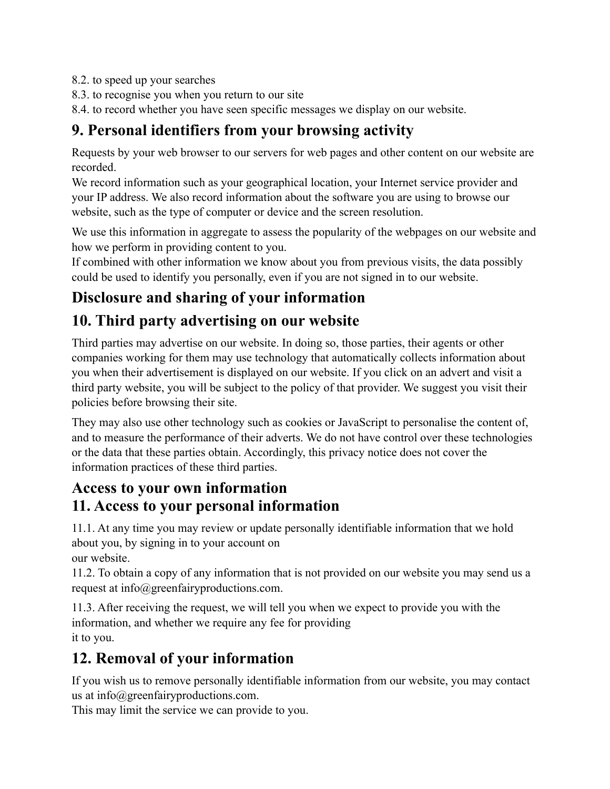- 8.2. to speed up your searches
- 8.3. to recognise you when you return to our site
- 8.4. to record whether you have seen specific messages we display on our website.

#### **9. Personal identifiers from your browsing activity**

Requests by your web browser to our servers for web pages and other content on our website are recorded.

We record information such as your geographical location, your Internet service provider and your IP address. We also record information about the software you are using to browse our website, such as the type of computer or device and the screen resolution.

We use this information in aggregate to assess the popularity of the webpages on our website and how we perform in providing content to you.

If combined with other information we know about you from previous visits, the data possibly could be used to identify you personally, even if you are not signed in to our website.

#### **Disclosure and sharing of your information**

#### **10. Third party advertising on our website**

Third parties may advertise on our website. In doing so, those parties, their agents or other companies working for them may use technology that automatically collects information about you when their advertisement is displayed on our website. If you click on an advert and visit a third party website, you will be subject to the policy of that provider. We suggest you visit their policies before browsing their site.

They may also use other technology such as cookies or JavaScript to personalise the content of, and to measure the performance of their adverts. We do not have control over these technologies or the data that these parties obtain. Accordingly, this privacy notice does not cover the information practices of these third parties.

#### **Access to your own information 11. Access to your personal information**

11.1. At any time you may review or update personally identifiable information that we hold about you, by signing in to your account on our website.

11.2. To obtain a copy of any information that is not provided on our website you may send us a request at info@greenfairyproductions.com.

11.3. After receiving the request, we will tell you when we expect to provide you with the information, and whether we require any fee for providing it to you.

## **12. Removal of your information**

If you wish us to remove personally identifiable information from our website, you may contact us at info@greenfairyproductions.com.

This may limit the service we can provide to you.